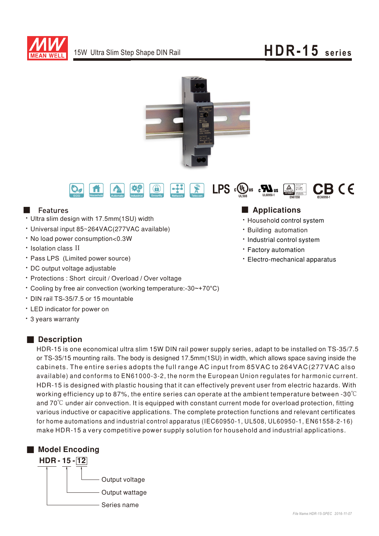

# 15W Ultra Slim Step Shape DIN Rail **HDR-15 series**





### **N** Features

- Ultra slim design with 17.5mm(1SU) width
- \* Universal input 85~264VAC(277VAC available)
- No load power consumption<0.3W
- Isolation class II
- Pass LPS (Limited power source)
- DC output voltage adjustable
- Protections: Short circuit / Overload / Over voltage
- Cooling by free air convection (working temperature:-30~+70°C)
- ‧DIN rail TS-35/7.5 or 15 mountable
- ‧ED indicator for power on
- 3 years warranty

### Description

HDR-15 is one economical ultra slim 15W DIN rail power supply series, adapt to be installed on TS-35/7.5 or TS-35/15 mounting rails. The body is designed 17.5mm(1SU) in width, which allows space saving inside the cabinets. The entire series adopts the full range AC input from 85VAC to 264VAC(277VAC also available) and conforms to EN61000-3-2, the norm the European Union regulates for harmonic current. HDR-15 is designed with plastic housing that it can effectively prevent user from electric hazards. With working efficiency up to 87%, the entire series can operate at the ambient temperature between -30℃ and  $70^{\circ}$ C under air convection. It is equipped with constant current mode for overload protection, fitting various inductive or capacitive applications. The complete protection functions and relevant certificates for home automations and industrial control apparatus (IEC60950-1, UL508, UL60950-1, EN61558-2-16) make HDR-15 a very competitive power supply solution for household and industrial applications.



### ■ Applications

- Household control system
- **· Building automation**
- Industrial control system
- **· Factory automation**
- Electro-mechanical apparatus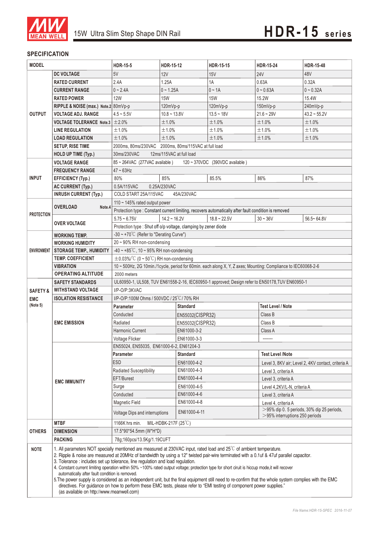

#### **SPECIFICATION**

| <b>MODEL</b>                                  |                                                                                                                                                                                                                                                                                                                                                                                                                                                                                                                                                                                                                                                                                                                                                                                                                                                                                         | <b>HDR-15-5</b>                                                                                               | HDR-15-12                                                      | <b>HDR-15-15</b>                                                                                     | <b>HDR-15-24</b>                                                                   | <b>HDR-15-48</b>                                   |  |
|-----------------------------------------------|-----------------------------------------------------------------------------------------------------------------------------------------------------------------------------------------------------------------------------------------------------------------------------------------------------------------------------------------------------------------------------------------------------------------------------------------------------------------------------------------------------------------------------------------------------------------------------------------------------------------------------------------------------------------------------------------------------------------------------------------------------------------------------------------------------------------------------------------------------------------------------------------|---------------------------------------------------------------------------------------------------------------|----------------------------------------------------------------|------------------------------------------------------------------------------------------------------|------------------------------------------------------------------------------------|----------------------------------------------------|--|
|                                               | <b>DC VOLTAGE</b>                                                                                                                                                                                                                                                                                                                                                                                                                                                                                                                                                                                                                                                                                                                                                                                                                                                                       | 5V                                                                                                            | 12V                                                            | 15V                                                                                                  | <b>24V</b>                                                                         | 48V                                                |  |
|                                               | <b>RATED CURRENT</b>                                                                                                                                                                                                                                                                                                                                                                                                                                                                                                                                                                                                                                                                                                                                                                                                                                                                    | 2.4A                                                                                                          | 1.25A                                                          | 1A                                                                                                   | 0.63A                                                                              | 0.32A                                              |  |
|                                               | <b>CURRENT RANGE</b>                                                                                                                                                                                                                                                                                                                                                                                                                                                                                                                                                                                                                                                                                                                                                                                                                                                                    | $0 - 2.4A$                                                                                                    | $0 - 1.25A$                                                    | $0 \sim 1A$                                                                                          | $0 - 0.63A$                                                                        | $0 - 0.32A$                                        |  |
|                                               | <b>RATED POWER</b>                                                                                                                                                                                                                                                                                                                                                                                                                                                                                                                                                                                                                                                                                                                                                                                                                                                                      | <b>12W</b>                                                                                                    | <b>15W</b>                                                     | <b>15W</b>                                                                                           | 15.2W                                                                              | 15.4W                                              |  |
|                                               | RIPPLE & NOISE (max.) Note.2 80mVp-p                                                                                                                                                                                                                                                                                                                                                                                                                                                                                                                                                                                                                                                                                                                                                                                                                                                    |                                                                                                               | 120mVp-p                                                       | 120mVp-p                                                                                             | $150mVp-p$                                                                         | 240mVp-p                                           |  |
| <b>OUTPUT</b>                                 | <b>VOLTAGE ADJ. RANGE</b>                                                                                                                                                                                                                                                                                                                                                                                                                                                                                                                                                                                                                                                                                                                                                                                                                                                               | $4.5 - 5.5V$                                                                                                  | $10.8 - 13.8V$                                                 | $13.5 - 18V$                                                                                         | $21.6 - 29V$                                                                       | $43.2 \sim 55.2V$                                  |  |
|                                               | <b>VOLTAGE TOLERANCE Note.3</b>                                                                                                                                                                                                                                                                                                                                                                                                                                                                                                                                                                                                                                                                                                                                                                                                                                                         | ±2.0%                                                                                                         | ±1.0%                                                          | ±1.0%                                                                                                | ±1.0%                                                                              | ±1.0%                                              |  |
|                                               | <b>LINE REGULATION</b>                                                                                                                                                                                                                                                                                                                                                                                                                                                                                                                                                                                                                                                                                                                                                                                                                                                                  | ±1.0%                                                                                                         | ±1.0%                                                          | ±1.0%                                                                                                | ±1.0%                                                                              | ±1.0%                                              |  |
|                                               | <b>LOAD REGULATION</b>                                                                                                                                                                                                                                                                                                                                                                                                                                                                                                                                                                                                                                                                                                                                                                                                                                                                  | ±1.0%                                                                                                         | ±1.0%                                                          | ±1.0%                                                                                                | ±1.0%                                                                              | ±1.0%                                              |  |
|                                               | <b>SETUP, RISE TIME</b>                                                                                                                                                                                                                                                                                                                                                                                                                                                                                                                                                                                                                                                                                                                                                                                                                                                                 |                                                                                                               | 2000ms, 80ms/230VAC 2000ms, 80ms/115VAC at full load           |                                                                                                      |                                                                                    |                                                    |  |
|                                               | <b>HOLD UP TIME (Typ.)</b>                                                                                                                                                                                                                                                                                                                                                                                                                                                                                                                                                                                                                                                                                                                                                                                                                                                              | 12ms/115VAC at full load<br>30ms/230VAC                                                                       |                                                                |                                                                                                      |                                                                                    |                                                    |  |
|                                               | <b>VOLTAGE RANGE</b>                                                                                                                                                                                                                                                                                                                                                                                                                                                                                                                                                                                                                                                                                                                                                                                                                                                                    | 85~264VAC (277VAC available)<br>120 ~ 370VDC (390VDC available)                                               |                                                                |                                                                                                      |                                                                                    |                                                    |  |
|                                               | <b>FREQUENCY RANGE</b>                                                                                                                                                                                                                                                                                                                                                                                                                                                                                                                                                                                                                                                                                                                                                                                                                                                                  | $47 \sim 63$ Hz                                                                                               |                                                                |                                                                                                      |                                                                                    |                                                    |  |
| <b>INPUT</b>                                  | <b>EFFICIENCY (Typ.)</b>                                                                                                                                                                                                                                                                                                                                                                                                                                                                                                                                                                                                                                                                                                                                                                                                                                                                | 80%                                                                                                           | 85%                                                            | 85.5%                                                                                                | 86%                                                                                | 87%                                                |  |
|                                               | <b>AC CURRENT (Typ.)</b>                                                                                                                                                                                                                                                                                                                                                                                                                                                                                                                                                                                                                                                                                                                                                                                                                                                                | 0.5A/115VAC                                                                                                   | 0.25A/230VAC                                                   |                                                                                                      |                                                                                    |                                                    |  |
|                                               | <b>INRUSH CURRENT (Typ.)</b>                                                                                                                                                                                                                                                                                                                                                                                                                                                                                                                                                                                                                                                                                                                                                                                                                                                            | COLD START 25A/115VAC<br>45A/230VAC                                                                           |                                                                |                                                                                                      |                                                                                    |                                                    |  |
|                                               | <b>OVERLOAD</b><br>Note.4                                                                                                                                                                                                                                                                                                                                                                                                                                                                                                                                                                                                                                                                                                                                                                                                                                                               | 110 $\sim$ 145% rated output power                                                                            |                                                                |                                                                                                      |                                                                                    |                                                    |  |
|                                               |                                                                                                                                                                                                                                                                                                                                                                                                                                                                                                                                                                                                                                                                                                                                                                                                                                                                                         |                                                                                                               |                                                                | Protection type : Constant current limiting, recovers automatically after fault condition is removed |                                                                                    |                                                    |  |
| <b>PROTECTION</b>                             |                                                                                                                                                                                                                                                                                                                                                                                                                                                                                                                                                                                                                                                                                                                                                                                                                                                                                         | $5.75 - 6.75V$                                                                                                | $14.2 - 16.2V$                                                 | $18.8 - 22.5V$                                                                                       | $30 - 36V$                                                                         | $56.5 - 64.8V$                                     |  |
|                                               | <b>OVER VOLTAGE</b>                                                                                                                                                                                                                                                                                                                                                                                                                                                                                                                                                                                                                                                                                                                                                                                                                                                                     |                                                                                                               | Protection type: Shut off o/p voltage, clamping by zener diode |                                                                                                      |                                                                                    |                                                    |  |
| <b>ENVIRONMENT</b>                            | WORKING TEMP.                                                                                                                                                                                                                                                                                                                                                                                                                                                                                                                                                                                                                                                                                                                                                                                                                                                                           | $-30 \sim +70^{\circ}$ (Refer to "Derating Curve")                                                            |                                                                |                                                                                                      |                                                                                    |                                                    |  |
|                                               | <b>WORKING HUMIDITY</b>                                                                                                                                                                                                                                                                                                                                                                                                                                                                                                                                                                                                                                                                                                                                                                                                                                                                 | 20~90% RH non-condensing                                                                                      |                                                                |                                                                                                      |                                                                                    |                                                    |  |
|                                               | <b>STORAGE TEMP., HUMIDITY</b>                                                                                                                                                                                                                                                                                                                                                                                                                                                                                                                                                                                                                                                                                                                                                                                                                                                          | $-40 \sim +85^{\circ}$ C, 10 ~ 95% RH non-condensing                                                          |                                                                |                                                                                                      |                                                                                    |                                                    |  |
|                                               | <b>TEMP. COEFFICIENT</b>                                                                                                                                                                                                                                                                                                                                                                                                                                                                                                                                                                                                                                                                                                                                                                                                                                                                | $\pm$ 0.03%/°C (0 ~ 50°C) RH non-condensing                                                                   |                                                                |                                                                                                      |                                                                                    |                                                    |  |
|                                               | <b>VIBRATION</b>                                                                                                                                                                                                                                                                                                                                                                                                                                                                                                                                                                                                                                                                                                                                                                                                                                                                        | 10 ~ 500Hz, 2G 10min./1cycle, period for 60min. each along X, Y, Z axes; Mounting: Compliance to IEC60068-2-6 |                                                                |                                                                                                      |                                                                                    |                                                    |  |
|                                               | <b>OPERATING ALTITUDE</b>                                                                                                                                                                                                                                                                                                                                                                                                                                                                                                                                                                                                                                                                                                                                                                                                                                                               | 2000 meters                                                                                                   |                                                                |                                                                                                      |                                                                                    |                                                    |  |
| <b>SAFETY &amp;</b><br><b>EMC</b><br>(Note 5) | <b>SAFETY STANDARDS</b>                                                                                                                                                                                                                                                                                                                                                                                                                                                                                                                                                                                                                                                                                                                                                                                                                                                                 | UL60950-1, UL508, TUV EN61558-2-16, IEC60950-1 approved; Design refer to EN50178, TUV EN60950-1               |                                                                |                                                                                                      |                                                                                    |                                                    |  |
|                                               | <b>WITHSTAND VOLTAGE</b>                                                                                                                                                                                                                                                                                                                                                                                                                                                                                                                                                                                                                                                                                                                                                                                                                                                                | I/P-O/P:3KVAC                                                                                                 |                                                                |                                                                                                      |                                                                                    |                                                    |  |
|                                               | <b>ISOLATION RESISTANCE</b>                                                                                                                                                                                                                                                                                                                                                                                                                                                                                                                                                                                                                                                                                                                                                                                                                                                             | I/P-O/P:100M Ohms / 500VDC / 25°C/70% RH                                                                      |                                                                |                                                                                                      |                                                                                    |                                                    |  |
|                                               | <b>EMC EMISSION</b><br><b>EMC IMMUNITY</b>                                                                                                                                                                                                                                                                                                                                                                                                                                                                                                                                                                                                                                                                                                                                                                                                                                              | <b>Standard</b><br><b>Parameter</b>                                                                           |                                                                |                                                                                                      | <b>Test Level / Note</b>                                                           |                                                    |  |
|                                               |                                                                                                                                                                                                                                                                                                                                                                                                                                                                                                                                                                                                                                                                                                                                                                                                                                                                                         | Conducted                                                                                                     | EN55032(CISPR32)                                               |                                                                                                      | Class B                                                                            |                                                    |  |
|                                               |                                                                                                                                                                                                                                                                                                                                                                                                                                                                                                                                                                                                                                                                                                                                                                                                                                                                                         | Radiated                                                                                                      |                                                                | EN55032(CISPR32)                                                                                     |                                                                                    | Class B                                            |  |
|                                               |                                                                                                                                                                                                                                                                                                                                                                                                                                                                                                                                                                                                                                                                                                                                                                                                                                                                                         | Harmonic Current                                                                                              | EN61000-3-2                                                    |                                                                                                      | Class A                                                                            |                                                    |  |
|                                               |                                                                                                                                                                                                                                                                                                                                                                                                                                                                                                                                                                                                                                                                                                                                                                                                                                                                                         | Voltage Flicker<br>EN61000-3-3                                                                                |                                                                | -------                                                                                              |                                                                                    |                                                    |  |
|                                               |                                                                                                                                                                                                                                                                                                                                                                                                                                                                                                                                                                                                                                                                                                                                                                                                                                                                                         | EN55024, EN55035, EN61000-6-2, EN61204-3                                                                      |                                                                |                                                                                                      |                                                                                    |                                                    |  |
|                                               |                                                                                                                                                                                                                                                                                                                                                                                                                                                                                                                                                                                                                                                                                                                                                                                                                                                                                         | <b>Test Level /Note</b><br><b>Standard</b><br>Parameter                                                       |                                                                |                                                                                                      |                                                                                    |                                                    |  |
|                                               |                                                                                                                                                                                                                                                                                                                                                                                                                                                                                                                                                                                                                                                                                                                                                                                                                                                                                         | <b>ESD</b>                                                                                                    | EN61000-4-2                                                    |                                                                                                      |                                                                                    | Level 3, 8KV air; Level 2, 4KV contact, criteria A |  |
|                                               |                                                                                                                                                                                                                                                                                                                                                                                                                                                                                                                                                                                                                                                                                                                                                                                                                                                                                         | Radiated Susceptibility                                                                                       | EN61000-4-3                                                    |                                                                                                      |                                                                                    | Level 3, criteria A                                |  |
|                                               |                                                                                                                                                                                                                                                                                                                                                                                                                                                                                                                                                                                                                                                                                                                                                                                                                                                                                         | EFT/Burest                                                                                                    | EN61000-4-4                                                    |                                                                                                      |                                                                                    | Level 3, criteria A                                |  |
|                                               |                                                                                                                                                                                                                                                                                                                                                                                                                                                                                                                                                                                                                                                                                                                                                                                                                                                                                         | Surge                                                                                                         | EN61000-4-5                                                    |                                                                                                      | Level 4,2KV/L-N, criteria A                                                        |                                                    |  |
|                                               |                                                                                                                                                                                                                                                                                                                                                                                                                                                                                                                                                                                                                                                                                                                                                                                                                                                                                         | EN61000-4-6<br>Conducted                                                                                      |                                                                |                                                                                                      | Level 3, criteria A                                                                |                                                    |  |
|                                               |                                                                                                                                                                                                                                                                                                                                                                                                                                                                                                                                                                                                                                                                                                                                                                                                                                                                                         | Magnetic Field                                                                                                | EN61000-4-8                                                    |                                                                                                      | Level 4, criteria A                                                                |                                                    |  |
|                                               |                                                                                                                                                                                                                                                                                                                                                                                                                                                                                                                                                                                                                                                                                                                                                                                                                                                                                         | EN61000-4-11<br>Voltage Dips and interruptions                                                                |                                                                |                                                                                                      | $>$ 95% dip 0. 5 periods, 30% dip 25 periods,<br>$>$ 95% interruptions 250 periods |                                                    |  |
|                                               | <b>MTBF</b>                                                                                                                                                                                                                                                                                                                                                                                                                                                                                                                                                                                                                                                                                                                                                                                                                                                                             | MIL-HDBK-217F (25°C)<br>1166K hrs min.                                                                        |                                                                |                                                                                                      |                                                                                    |                                                    |  |
| <b>OTHERS</b>                                 | <b>DIMENSION</b>                                                                                                                                                                                                                                                                                                                                                                                                                                                                                                                                                                                                                                                                                                                                                                                                                                                                        | 17.5*90*54.5mm (W*H*D)                                                                                        |                                                                |                                                                                                      |                                                                                    |                                                    |  |
|                                               | <b>PACKING</b>                                                                                                                                                                                                                                                                                                                                                                                                                                                                                                                                                                                                                                                                                                                                                                                                                                                                          | 78g;160pcs/13.5Kg/1.19CUFT                                                                                    |                                                                |                                                                                                      |                                                                                    |                                                    |  |
| <b>NOTE</b>                                   | 1. All parameters NOT specially mentioned are measured at 230VAC input, rated load and 25°C of ambient temperature.<br>2. Ripple & noise are measured at 20MHz of bandwidth by using a 12" twisted pair-wire terminated with a 0.1uf & 47uf parallel capacitor.<br>3. Tolerance : includes set up tolerance, line regulation and load regulation.<br>4. Constant current limiting operation within 50% ~100% rated output voltage; protection type for short ciruit is hiccup mode, it will recover<br>automatically after fault condition is removed.<br>5. The power supply is considered as an independent unit, but the final equipment still need to re-confirm that the whole system complies with the EMC<br>directives. For guidance on how to perform these EMC tests, please refer to "EMI testing of component power supplies."<br>(as available on http://www.meanwell.com) |                                                                                                               |                                                                |                                                                                                      |                                                                                    |                                                    |  |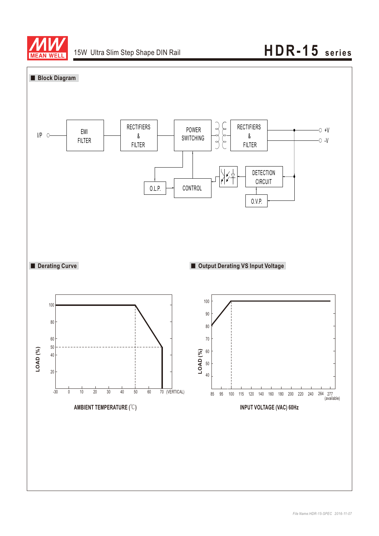

# 15W Ultra Slim Step Shape DIN Rail **HDR-15 series**